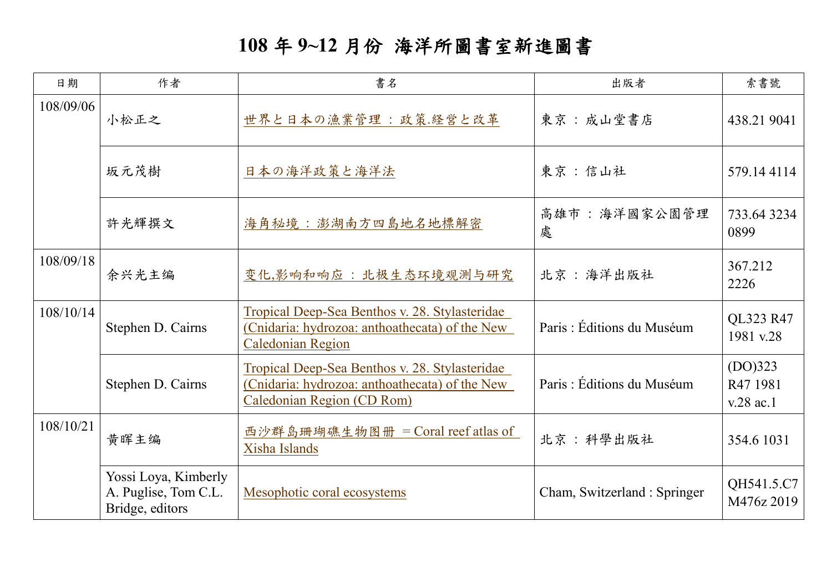## **108** 年 **9~12** 月份 海洋所圖書室新進圖書

| 日期        | 作者                                                              | 書名                                                                                                                                    | 出版者                          | 索書號                                |
|-----------|-----------------------------------------------------------------|---------------------------------------------------------------------------------------------------------------------------------------|------------------------------|------------------------------------|
| 108/09/06 | 小松正之                                                            | 世界と日本の漁業管理 : 政策.経営と改革                                                                                                                 | 東京:成山堂書店                     | 438.21 9041                        |
|           | 坂元茂樹                                                            | 日本の海洋政策と海洋法                                                                                                                           | 東京:信山社                       | 579.144114                         |
|           | 許光輝撰文                                                           | 海角秘境:澎湖南方四島地名地標解密                                                                                                                     | 高雄市:海洋國家公園管理<br>處            | 733.643234<br>0899                 |
| 108/09/18 | 余兴光主编                                                           | 变化,影响和响应: 北极生态环境观测与研究                                                                                                                 | 北京:海洋出版社                     | 367.212<br>2226                    |
| 108/10/14 | Stephen D. Cairns                                               | Tropical Deep-Sea Benthos v. 28. Stylasteridae<br>(Cnidaria: hydrozoa: anthoathecata) of the New<br><b>Caledonian Region</b>          | Paris: Éditions du Muséum    | QL323 R47<br>1981 v.28             |
|           | Stephen D. Cairns                                               | Tropical Deep-Sea Benthos v. 28. Stylasteridae<br>(Cnidaria: hydrozoa: anthoathecata) of the New<br><b>Caledonian Region (CD Rom)</b> | Paris: Éditions du Muséum    | (DO)323<br>R47 1981<br>$v.28$ ac.1 |
| 108/10/21 | 黄晖主编                                                            | 西沙群岛珊瑚礁生物图册 = Coral reef atlas of<br>Xisha Islands                                                                                    | 北京:科學出版社                     | 354.6 1031                         |
|           | Yossi Loya, Kimberly<br>A. Puglise, Tom C.L.<br>Bridge, editors | Mesophotic coral ecosystems                                                                                                           | Cham, Switzerland : Springer | QH541.5.C7<br>M476z 2019           |